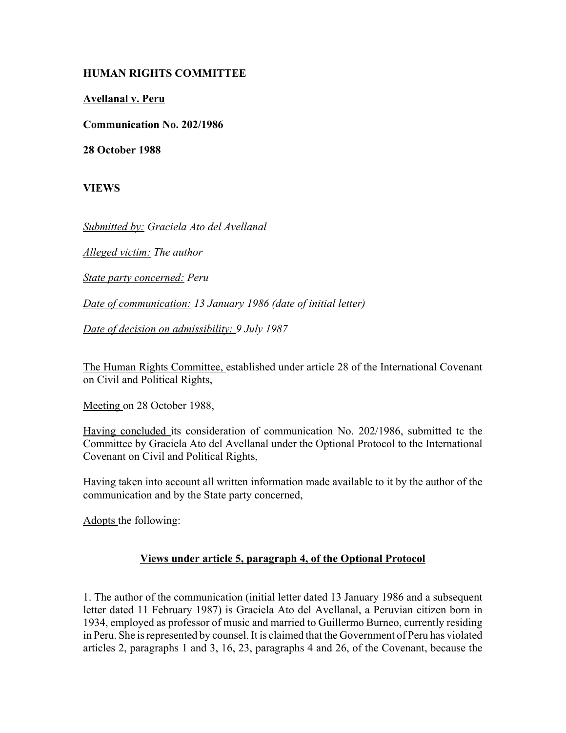## **HUMAN RIGHTS COMMITTEE**

**Avellanal v. Peru**

**Communication No. 202/1986**

**28 October 1988**

**VIEWS**

*Submitted by: Graciela Ato del Avellanal*

*Alleged victim: The author*

*State party concerned: Peru*

*Date of communication: 13 January 1986 (date of initial letter)*

*Date of decision on admissibility: 9 July 1987*

The Human Rights Committee, established under article 28 of the International Covenant on Civil and Political Rights,

Meeting on 28 October 1988,

Having concluded its consideration of communication No. 202/1986, submitted tc the Committee by Graciela Ato del Avellanal under the Optional Protocol to the International Covenant on Civil and Political Rights,

Having taken into account all written information made available to it by the author of the communication and by the State party concerned,

Adopts the following:

## **Views under article 5, paragraph 4, of the Optional Protocol**

1. The author of the communication (initial letter dated 13 January 1986 and a subsequent letter dated 11 February 1987) is Graciela Ato del Avellanal, a Peruvian citizen born in 1934, employed as professor of music and married to Guillermo Burneo, currently residing in Peru. She is represented by counsel. It is claimed that the Government of Peru has violated articles 2, paragraphs 1 and 3, 16, 23, paragraphs 4 and 26, of the Covenant, because the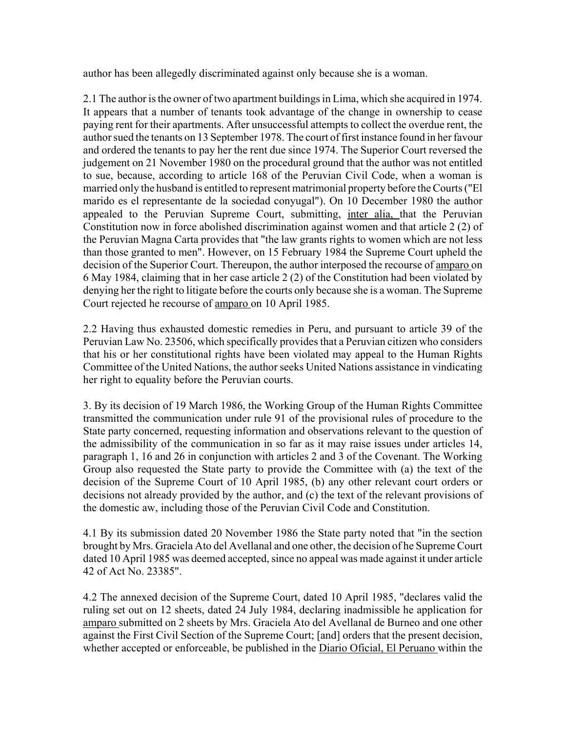author has been allegedly discriminated against only because she is a woman.

2.1 The author is the owner of two apartment buildings in Lima, which she acquired in 1974. It appears that a number of tenants took advantage of the change in ownership to cease paying rent for their apartments. After unsuccessful attempts to collect the overdue rent, the author sued the tenants on 13 September 1978. The court of first instance found in her favour and ordered the tenants to pay her the rent due since 1974. The Superior Court reversed the judgement on 21 November 1980 on the procedural ground that the author was not entitled to sue, because, according to article 168 of the Peruvian Civil Code, when a woman is married only the husband is entitled to represent matrimonial property before the Courts ("El marido es el representante de la sociedad conyugal"). On 10 December 1980 the author appealed to the Peruvian Supreme Court, submitting, inter alia, that the Peruvian Constitution now in force abolished discrimination against women and that article 2 (2) of the Peruvian Magna Carta provides that "the law grants rights to women which are not less than those granted to men". However, on 15 February 1984 the Supreme Court upheld the decision of the Superior Court. Thereupon, the author interposed the recourse of amparo on 6 May 1984, claiming that in her case article 2 (2) of the Constitution had been violated by denying her the right to litigate before the courts only because she is a woman. The Supreme Court rejected he recourse of amparo on 10 April 1985.

2.2 Having thus exhausted domestic remedies in Peru, and pursuant to article 39 of the Peruvian Law No. 23506, which specifically provides that a Peruvian citizen who considers that his or her constitutional rights have been violated may appeal to the Human Rights Committee of the United Nations, the author seeks United Nations assistance in vindicating her right to equality before the Peruvian courts.

3. By its decision of 19 March 1986, the Working Group of the Human Rights Committee transmitted the communication under rule 91 of the provisional rules of procedure to the State party concerned, requesting information and observations relevant to the question of the admissibility of the communication in so far as it may raise issues under articles 14, paragraph 1, 16 and 26 in conjunction with articles 2 and 3 of the Covenant. The Working Group also requested the State party to provide the Committee with (a) the text of the decision of the Supreme Court of 10 April 1985, (b) any other relevant court orders or decisions not already provided by the author, and (c) the text of the relevant provisions of the domestic aw, including those of the Peruvian Civil Code and Constitution.

4.1 By its submission dated 20 November 1986 the State party noted that "in the section brought by Mrs. Graciela Ato del Avellanal and one other, the decision of he Supreme Court dated 10 April 1985 was deemed accepted, since no appeal was made against it under article 42 of Act No. 23385".

4.2 The annexed decision of the Supreme Court, dated 10 April 1985, "declares valid the ruling set out on 12 sheets, dated 24 July 1984, declaring inadmissible he application for amparo submitted on 2 sheets by Mrs. Graciela Ato del Avellanal de Burneo and one other against the First Civil Section of the Supreme Court; [and] orders that the present decision, whether accepted or enforceable, be published in the Diario Oficial, El Peruano within the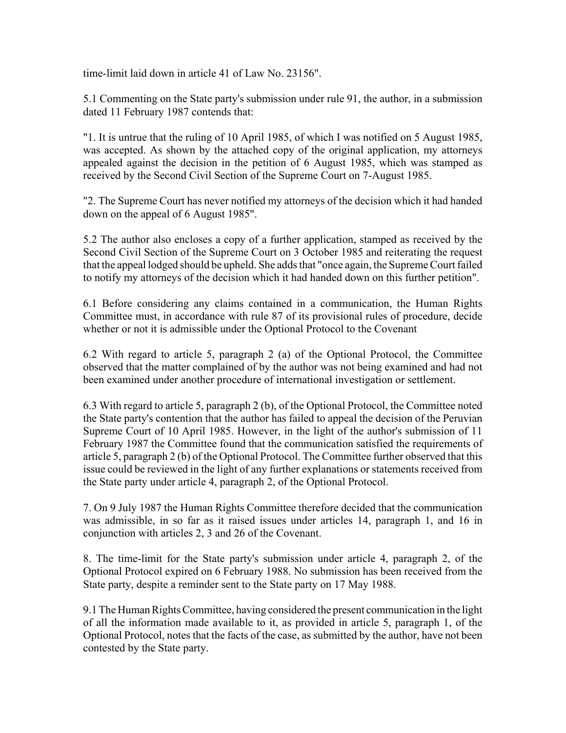time-limit laid down in article 41 of Law No. 23156".

5.1 Commenting on the State party's submission under rule 91, the author, in a submission dated 11 February 1987 contends that:

"1. It is untrue that the ruling of 10 April 1985, of which I was notified on 5 August 1985, was accepted. As shown by the attached copy of the original application, my attorneys appealed against the decision in the petition of 6 August 1985, which was stamped as received by the Second Civil Section of the Supreme Court on 7-August 1985.

"2. The Supreme Court has never notified my attorneys of the decision which it had handed down on the appeal of 6 August 1985".

5.2 The author also encloses a copy of a further application, stamped as received by the Second Civil Section of the Supreme Court on 3 October 1985 and reiterating the request that the appeal lodged should be upheld. She adds that "once again, the Supreme Court failed to notify my attorneys of the decision which it had handed down on this further petition".

6.1 Before considering any claims contained in a communication, the Human Rights Committee must, in accordance with rule 87 of its provisional rules of procedure, decide whether or not it is admissible under the Optional Protocol to the Covenant

6.2 With regard to article 5, paragraph 2 (a) of the Optional Protocol, the Committee observed that the matter complained of by the author was not being examined and had not been examined under another procedure of international investigation or settlement.

6.3 With regard to article 5, paragraph 2 (b), of the Optional Protocol, the Committee noted the State party's contention that the author has failed to appeal the decision of the Peruvian Supreme Court of 10 April 1985. However, in the light of the author's submission of 11 February 1987 the Committee found that the communication satisfied the requirements of article 5, paragraph 2 (b) of the Optional Protocol. The Committee further observed that this issue could be reviewed in the light of any further explanations or statements received from the State party under article 4, paragraph 2, of the Optional Protocol.

7. On 9 July 1987 the Human Rights Committee therefore decided that the communication was admissible, in so far as it raised issues under articles 14, paragraph 1, and 16 in conjunction with articles 2, 3 and 26 of the Covenant.

8. The time-limit for the State party's submission under article 4, paragraph 2, of the Optional Protocol expired on 6 February 1988. No submission has been received from the State party, despite a reminder sent to the State party on 17 May 1988.

9.1 The Human Rights Committee, having considered the present communication in the light of all the information made available to it, as provided in article 5, paragraph 1, of the Optional Protocol, notes that the facts of the case, as submitted by the author, have not been contested by the State party.